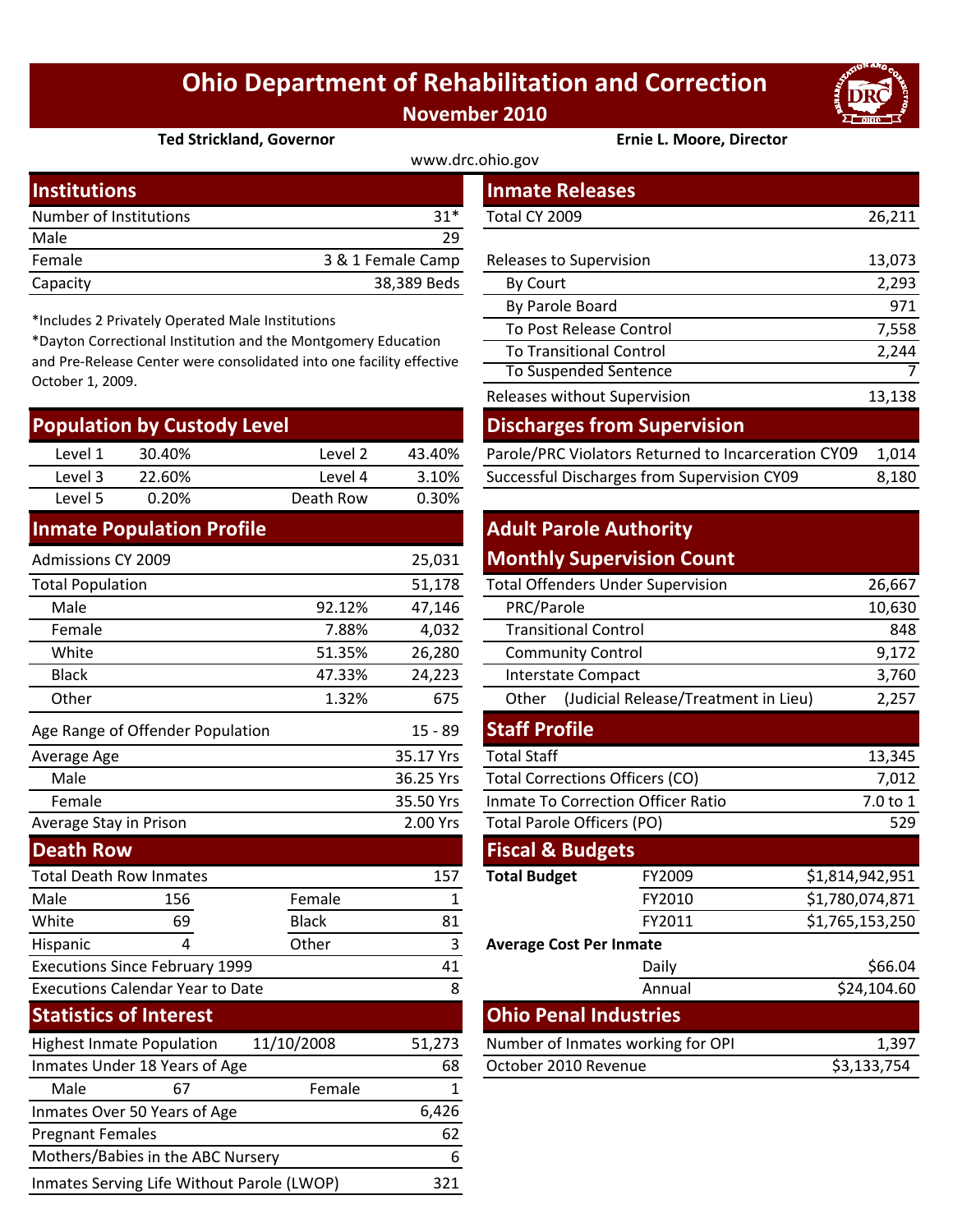## **Ohio Department of Rehabilitation and Correction November 2010**



#### **Ted Strickland, Governor Ernie L. Moore, Director**

| www.drc.ohio.gov       |                   |                         |        |  |  |  |
|------------------------|-------------------|-------------------------|--------|--|--|--|
| <b>Institutions</b>    |                   | <b>Inmate Releases</b>  |        |  |  |  |
| Number of Institutions | $31*$             | Total CY 2009           | 26,211 |  |  |  |
| Male                   | 29                |                         |        |  |  |  |
| Female                 | 3 & 1 Female Camp | Releases to Supervision | 13,073 |  |  |  |
| Capacity               | 38,389 Beds       | By Court                | 2,293  |  |  |  |

\*Includes 2 Privately Operated Male Institutions

\*Dayton Correctional Institution and the Montgomery Education and Pre‐Release Center were consolidated into one facility effective October 1, 2009.

| <b>Population by Custody Level</b> |        |           |        | <b>Discharges from Supervision</b>                  |       |  |
|------------------------------------|--------|-----------|--------|-----------------------------------------------------|-------|--|
| Level 1                            | 30.40% | Level 2   | 43.40% | Parole/PRC Violators Returned to Incarceration CY09 | 1.014 |  |
| Level 3                            | 22.60% | Level 4   | 3.10%  | Successful Discharges from Supervision CY09         | 8,180 |  |
| Level 5                            | 0.20%  | Death Row | 0.30%  |                                                     |       |  |
|                                    |        |           |        |                                                     |       |  |

#### **Inmate Population Profile**

| 25,031<br>Admissions CY 2009                |                                  |              |                                        | <b>Monthly Supervision Count</b>          |                                      |                 |
|---------------------------------------------|----------------------------------|--------------|----------------------------------------|-------------------------------------------|--------------------------------------|-----------------|
| <b>Total Population</b>                     |                                  |              | 51,178                                 | <b>Total Offenders Under Supervision</b>  |                                      | 26,667          |
| Male                                        |                                  | 92.12%       | 47,146                                 | PRC/Parole                                |                                      | 10,630          |
| Female                                      |                                  | 7.88%        | 4,032                                  | <b>Transitional Control</b>               |                                      | 848             |
| White                                       |                                  | 51.35%       | 26,280                                 | <b>Community Control</b>                  |                                      | 9,172           |
| <b>Black</b>                                |                                  | 47.33%       | 24,223                                 | <b>Interstate Compact</b>                 |                                      | 3,760           |
| Other                                       |                                  | 1.32%        | 675                                    | Other                                     | (Judicial Release/Treatment in Lieu) | 2,257           |
|                                             | Age Range of Offender Population |              | $15 - 89$                              | <b>Staff Profile</b>                      |                                      |                 |
| Average Age                                 |                                  |              | 35.17 Yrs                              | <b>Total Staff</b>                        |                                      | 13,345          |
| Male                                        |                                  | 36.25 Yrs    | <b>Total Corrections Officers (CO)</b> |                                           | 7,012                                |                 |
| Female                                      |                                  |              | 35.50 Yrs                              | <b>Inmate To Correction Officer Ratio</b> |                                      | 7.0 to 1        |
| Average Stay in Prison                      |                                  | 2.00 Yrs     | Total Parole Officers (PO)             |                                           | 529                                  |                 |
| <b>Death Row</b>                            |                                  |              |                                        | <b>Fiscal &amp; Budgets</b>               |                                      |                 |
| <b>Total Death Row Inmates</b>              |                                  |              | 157                                    | <b>Total Budget</b>                       | FY2009                               | \$1,814,942,951 |
| Male                                        | 156                              | Female       | 1                                      |                                           | FY2010                               | \$1,780,074,871 |
| White                                       | 69                               | <b>Black</b> | 81                                     |                                           | FY2011                               | \$1,765,153,250 |
| Hispanic                                    | 4                                | Other        | 3                                      | <b>Average Cost Per Inmate</b>            |                                      |                 |
| <b>Executions Since February 1999</b><br>41 |                                  |              |                                        | Daily                                     | \$66.04                              |                 |
| <b>Executions Calendar Year to Date</b>     |                                  |              | 8                                      |                                           | Annual                               | \$24,104.60     |
| <b>Statistics of Interest</b>               |                                  |              |                                        | <b>Ohio Penal Industries</b>              |                                      |                 |
| <b>Highest Inmate Population</b>            |                                  | 11/10/2008   | 51,273                                 |                                           | Number of Inmates working for OPI    | 1,397           |
| Inmates Under 18 Years of Age<br>68         |                                  |              | October 2010 Revenue                   |                                           | \$3,133,754                          |                 |
| Male                                        | 67                               | Female       | 1                                      |                                           |                                      |                 |
| Inmates Over 50 Years of Age<br>6,426       |                                  |              |                                        |                                           |                                      |                 |
| 62<br><b>Pregnant Females</b>               |                                  |              |                                        |                                           |                                      |                 |

Mothers/Babies in the ABC Nursery 6 Inmates Serving Life Without Parole (LWOP) 321

| stitutions                                                                                                                                                                                       |        |                   |             | <b>Inmate Releases</b>                              |        |  |
|--------------------------------------------------------------------------------------------------------------------------------------------------------------------------------------------------|--------|-------------------|-------------|-----------------------------------------------------|--------|--|
| mber of Institutions<br>$31*$                                                                                                                                                                    |        |                   |             | Total CY 2009<br>26,211                             |        |  |
| le                                                                                                                                                                                               |        |                   | 29          |                                                     |        |  |
| nale                                                                                                                                                                                             |        | 3 & 1 Female Camp |             | Releases to Supervision                             | 13,073 |  |
| acity                                                                                                                                                                                            |        |                   | 38,389 Beds | By Court                                            | 2,293  |  |
|                                                                                                                                                                                                  |        |                   |             | By Parole Board                                     | 971    |  |
| cludes 2 Privately Operated Male Institutions<br>yton Correctional Institution and the Montgomery Education<br>Pre-Release Center were consolidated into one facility effective<br>ober 1, 2009. |        |                   |             | To Post Release Control                             | 7,558  |  |
|                                                                                                                                                                                                  |        |                   |             | <b>To Transitional Control</b>                      | 2,244  |  |
|                                                                                                                                                                                                  |        |                   |             | <b>To Suspended Sentence</b>                        | 7      |  |
|                                                                                                                                                                                                  |        |                   |             | Releases without Supervision                        | 13,138 |  |
| pulation by Custody Level                                                                                                                                                                        |        |                   |             | <b>Discharges from Supervision</b>                  |        |  |
| Level 1                                                                                                                                                                                          | 30.40% | Level 2           | 43.40%      | Parole/PRC Violators Returned to Incarceration CY09 | 1,014  |  |
| Level 3                                                                                                                                                                                          | 22.60% | Level 4           | 3.10%       | Successful Discharges from Supervision CY09         | 8,180  |  |

### **Adult Parole Authority Monthly Supervision Count**

|                                                     | 51,178    |                                           | <b>Total Offenders Under Supervision</b>      | 26,667          |  |  |
|-----------------------------------------------------|-----------|-------------------------------------------|-----------------------------------------------|-----------------|--|--|
| 92.12%                                              | 47,146    | PRC/Parole                                | 10,630                                        |                 |  |  |
| 7.88%                                               | 4,032     | <b>Transitional Control</b>               | 848                                           |                 |  |  |
| 51.35%                                              | 26,280    | <b>Community Control</b>                  | 9,172                                         |                 |  |  |
| 47.33%                                              | 24,223    | <b>Interstate Compact</b>                 | 3,760                                         |                 |  |  |
| 1.32%                                               | 675       | Other                                     | 2,257<br>(Judicial Release/Treatment in Lieu) |                 |  |  |
|                                                     | $15 - 89$ | <b>Staff Profile</b>                      |                                               |                 |  |  |
|                                                     | 35.17 Yrs | <b>Total Staff</b>                        |                                               | 13,345          |  |  |
| 36.25 Yrs<br><b>Total Corrections Officers (CO)</b> |           |                                           |                                               | 7,012           |  |  |
|                                                     | 35.50 Yrs | <b>Inmate To Correction Officer Ratio</b> | 7.0 to 1                                      |                 |  |  |
|                                                     | 2.00 Yrs  | <b>Total Parole Officers (PO)</b>         | 529                                           |                 |  |  |
|                                                     |           | <b>Fiscal &amp; Budgets</b>               |                                               |                 |  |  |
|                                                     | 157       | <b>Total Budget</b>                       | FY2009                                        | \$1,814,942,951 |  |  |
| ale                                                 | 1         |                                           | FY2010                                        | \$1,780,074,871 |  |  |
| :k                                                  | 81        |                                           | FY2011                                        | \$1,765,153,250 |  |  |
| er                                                  | 3         | <b>Average Cost Per Inmate</b>            |                                               |                 |  |  |
|                                                     | 41        |                                           | Daily                                         | \$66.04         |  |  |
|                                                     | 8         |                                           | Annual                                        | \$24,104.60     |  |  |
|                                                     |           |                                           | <b>Ohio Penal Industries</b>                  |                 |  |  |
| 08                                                  | 51,273    |                                           | Number of Inmates working for OPI             | 1,397           |  |  |
| 68<br>October 2010 Revenue                          |           |                                           |                                               | \$3,133,754     |  |  |
|                                                     |           |                                           |                                               |                 |  |  |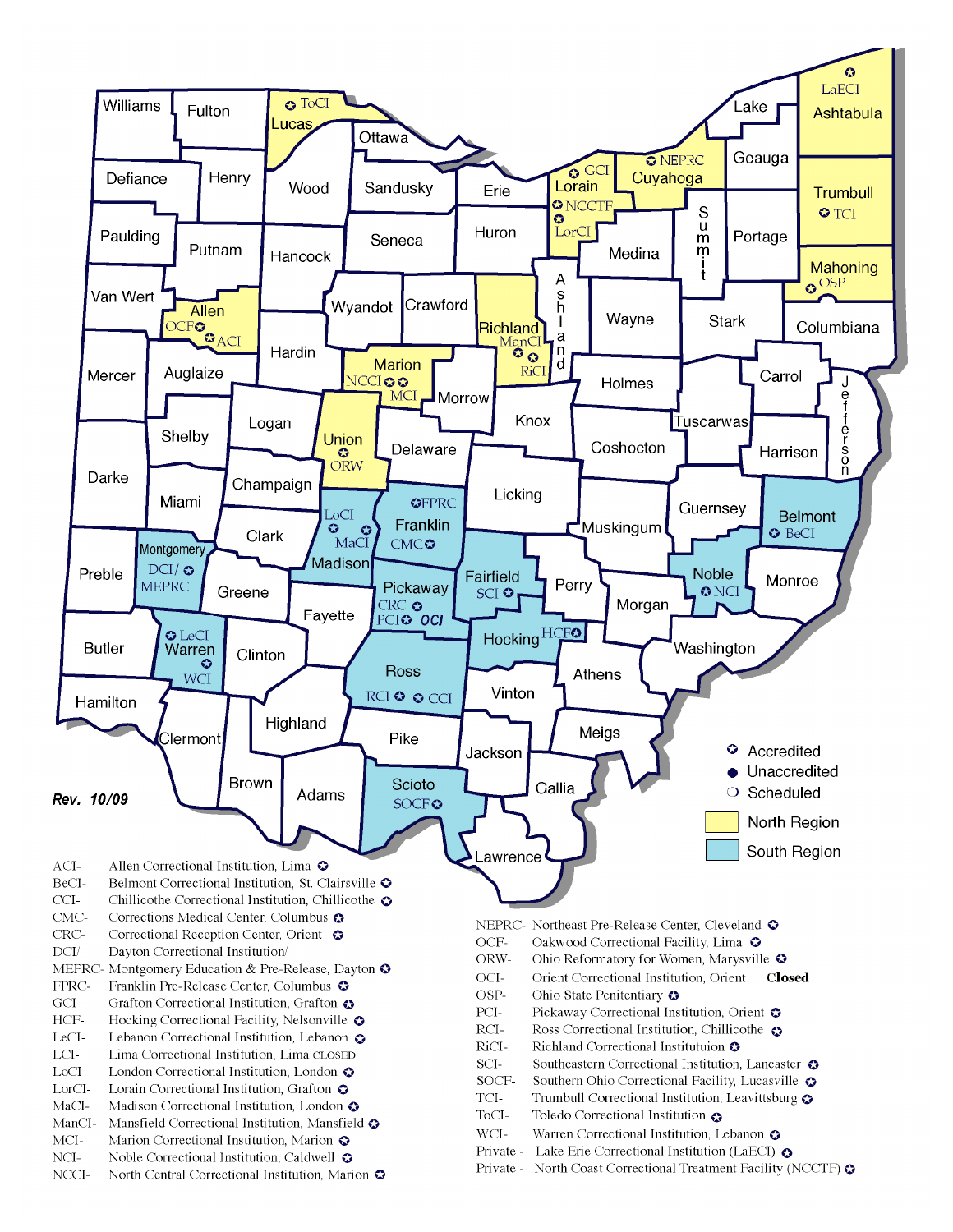